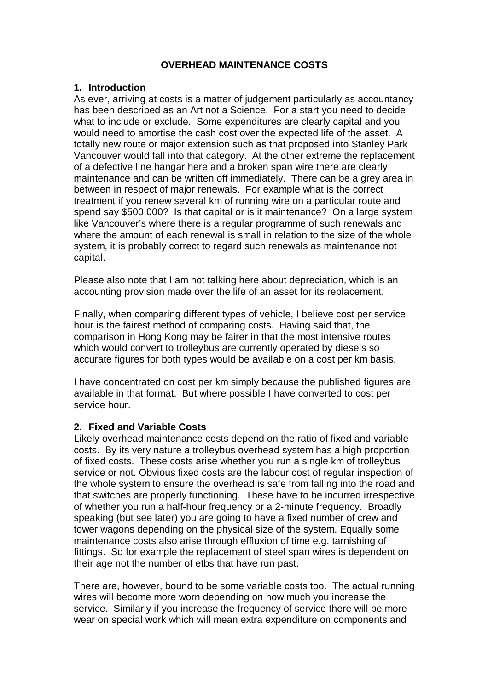# **OVERHEAD MAINTENANCE COSTS**

## **1. Introduction**

As ever, arriving at costs is a matter of judgement particularly as accountancy has been described as an Art not a Science. For a start you need to decide what to include or exclude. Some expenditures are clearly capital and you would need to amortise the cash cost over the expected life of the asset. A totally new route or major extension such as that proposed into Stanley Park Vancouver would fall into that category. At the other extreme the replacement of a defective line hangar here and a broken span wire there are clearly maintenance and can be written off immediately. There can be a grey area in between in respect of major renewals. For example what is the correct treatment if you renew several km of running wire on a particular route and spend say \$500,000? Is that capital or is it maintenance? On a large system like Vancouver's where there is a regular programme of such renewals and where the amount of each renewal is small in relation to the size of the whole system, it is probably correct to regard such renewals as maintenance not capital.

Please also note that I am not talking here about depreciation, which is an accounting provision made over the life of an asset for its replacement,

Finally, when comparing different types of vehicle, I believe cost per service hour is the fairest method of comparing costs. Having said that, the comparison in Hong Kong may be fairer in that the most intensive routes which would convert to trolleybus are currently operated by diesels so accurate figures for both types would be available on a cost per km basis.

I have concentrated on cost per km simply because the published figures are available in that format. But where possible I have converted to cost per service hour.

## **2. Fixed and Variable Costs**

Likely overhead maintenance costs depend on the ratio of fixed and variable costs. By its very nature a trolleybus overhead system has a high proportion of fixed costs. These costs arise whether you run a single km of trolleybus service or not. Obvious fixed costs are the labour cost of regular inspection of the whole system to ensure the overhead is safe from falling into the road and that switches are properly functioning. These have to be incurred irrespective of whether you run a half-hour frequency or a 2-minute frequency. Broadly speaking (but see later) you are going to have a fixed number of crew and tower wagons depending on the physical size of the system. Equally some maintenance costs also arise through effluxion of time e.g. tarnishing of fittings. So for example the replacement of steel span wires is dependent on their age not the number of etbs that have run past.

There are, however, bound to be some variable costs too. The actual running wires will become more worn depending on how much you increase the service. Similarly if you increase the frequency of service there will be more wear on special work which will mean extra expenditure on components and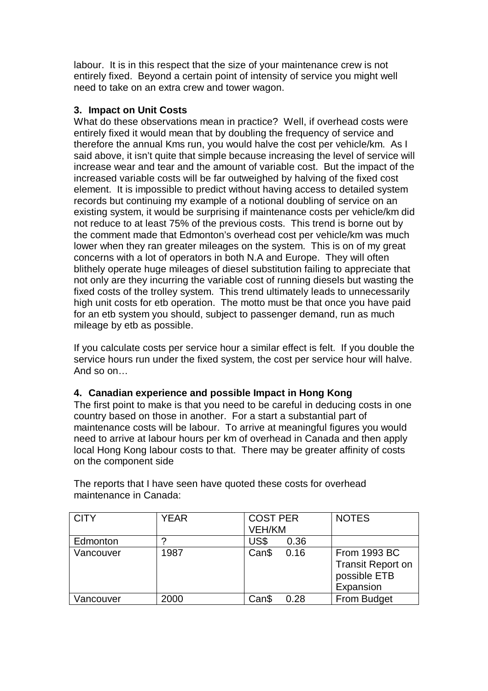labour. It is in this respect that the size of your maintenance crew is not entirely fixed. Beyond a certain point of intensity of service you might well need to take on an extra crew and tower wagon.

## **3. Impact on Unit Costs**

What do these observations mean in practice? Well, if overhead costs were entirely fixed it would mean that by doubling the frequency of service and therefore the annual Kms run, you would halve the cost per vehicle/km. As I said above, it isn't quite that simple because increasing the level of service will increase wear and tear and the amount of variable cost. But the impact of the increased variable costs will be far outweighed by halving of the fixed cost element. It is impossible to predict without having access to detailed system records but continuing my example of a notional doubling of service on an existing system, it would be surprising if maintenance costs per vehicle/km did not reduce to at least 75% of the previous costs. This trend is borne out by the comment made that Edmonton's overhead cost per vehicle/km was much lower when they ran greater mileages on the system. This is on of my great concerns with a lot of operators in both N.A and Europe. They will often blithely operate huge mileages of diesel substitution failing to appreciate that not only are they incurring the variable cost of running diesels but wasting the fixed costs of the trolley system. This trend ultimately leads to unnecessarily high unit costs for etb operation. The motto must be that once you have paid for an etb system you should, subject to passenger demand, run as much mileage by etb as possible.

If you calculate costs per service hour a similar effect is felt. If you double the service hours run under the fixed system, the cost per service hour will halve. And so on…

## **4. Canadian experience and possible Impact in Hong Kong**

The first point to make is that you need to be careful in deducing costs in one country based on those in another. For a start a substantial part of maintenance costs will be labour. To arrive at meaningful figures you would need to arrive at labour hours per km of overhead in Canada and then apply local Hong Kong labour costs to that. There may be greater affinity of costs on the component side

| <b>CITY</b> | <b>YEAR</b> | <b>COST PER</b><br><b>VEH/KM</b> |      | <b>NOTES</b>                                                                 |
|-------------|-------------|----------------------------------|------|------------------------------------------------------------------------------|
| Edmonton    |             | US\$                             | 0.36 |                                                                              |
| Vancouver   | 1987        | Can\$                            | 0.16 | <b>From 1993 BC</b><br><b>Transit Report on</b><br>possible ETB<br>Expansion |
| Vancouver   | 2000        | Can\$                            | 0.28 | From Budget                                                                  |

The reports that I have seen have quoted these costs for overhead maintenance in Canada: